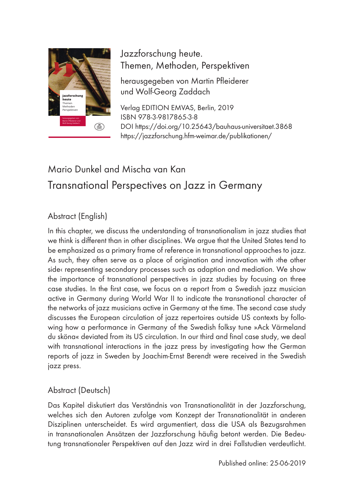

Themen, Methoden, Perspektiven Jazzforschung heute.

herausgegeben von Martin Pfleiderer und Wolf-Georg Zaddach

Verlag EDITION EMVAS, Berlin, 2019 ISBN 978-3-9817865-3-8 DOI https://doi.org/10.25643/bauhaus-universitaet.3868 https://jazzforschung.hfm-weimar.de/publikationen/

# Mario Dunkel and Mischa van Kan Transnational Perspectives on Jazz in Germany

### Abstract (English)

In this chapter, we discuss the understanding of transnationalism in jazz studies that we think is different than in other disciplines. We argue that the United States tend to be emphasized as a primary frame of reference in transnational approaches to jazz. As such, they often serve as a place of origination and innovation with ›the other side< representing secondary processes such as adaption and mediation. We show the importance of transnational perspectives in jazz studies by focusing on three case studies. In the first case, we focus on a report from a Swedish jazz musician active in Germany during World War II to indicate the transnational character of the networks of jazz musicians active in Germany at the time. The second case study discusses the European circulation of jazz repertoires outside US contexts by following how a performance in Germany of the Swedish folksy tune »Ack Värmeland du sköna« deviated from its US circulation. In our third and final case study, we deal with transnational interactions in the jazz press by investigating how the German reports of jazz in Sweden by Joachim-Ernst Berendt were received in the Swedish jazz press.

### Abstract (Deutsch)

Das Kapitel diskutiert das Verständnis von Transnationalität in der Jazzforschung, welches sich den Autoren zufolge vom Konzept der Transnationalität in anderen Disziplinen unterscheidet. Es wird argumentiert, dass die USA als Bezugsrahmen in transnationalen Ansätzen der Jazzforschung häufig betont werden. Die Bedeutung transnationaler Perspektiven auf den Jazz wird in drei Fallstudien verdeutlicht.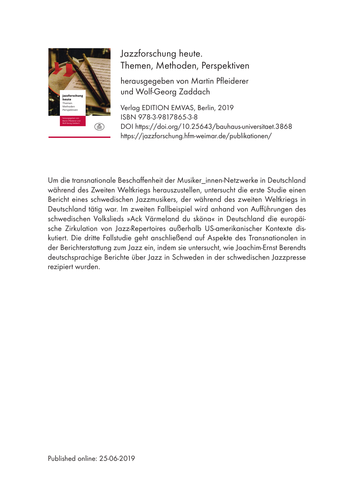

Themen, Methoden, Perspektiven Jazzforschung heute.

herausgegeben von Martin Pfleiderer und Wolf-Georg Zaddach

Verlag EDITION EMVAS, Berlin, 2019 ISBN 978-3-9817865-3-8 DOI https://doi.org/10.25643/bauhaus-universitaet.3868 https://jazzforschung.hfm-weimar.de/publikationen/

Um die transnationale Beschaffenheit der Musiker\_innen-Netzwerke in Deutschland während des Zweiten Weltkriegs herauszustellen, untersucht die erste Studie einen Bericht eines schwedischen Jazzmusikers, der während des zweiten Weltkriegs in Deutschland tätig war. Im zweiten Fallbeispiel wird anhand von Aufführungen des schwedischen Volkslieds »Ack Värmeland du sköna« in Deutschland die europäische Zirkulation von Jazz-Repertoires außerhalb US-amerikanischer Kontexte diskutiert. Die dritte Fallstudie geht anschließend auf Aspekte des Transnationalen in der Berichterstattung zum Jazz ein, indem sie untersucht, wie Joachim-Ernst Berendts deutschsprachige Berichte über Jazz in Schweden in der schwedischen Jazzpresse rezipiert wurden.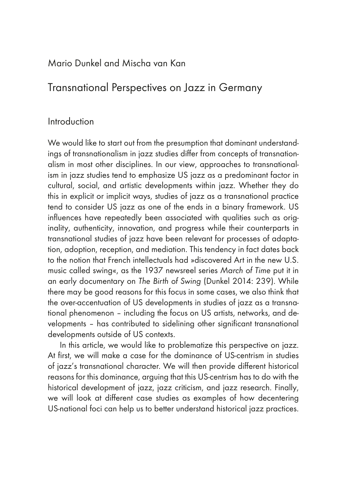### Mario Dunkel and Mischa van Kan

## Transnational Perspectives on Jazz in Germany

### Introduction

We would like to start out from the presumption that dominant understandings of transnationalism in jazz studies differ from concepts of transnationalism in most other disciplines. In our view, approaches to transnationalism in jazz studies tend to emphasize US jazz as a predominant factor in cultural, social, and artistic developments within jazz. Whether they do this in explicit or implicit ways, studies of jazz as a transnational practice tend to consider US jazz as one of the ends in a binary framework. US influences have repeatedly been associated with qualities such as originality, authenticity, innovation, and progress while their counterparts in transnational studies of jazz have been relevant for processes of adaptation, adoption, reception, and mediation. This tendency in fact dates back to the notion that French intellectuals had »discovered Art in the new U.S. music called swing«, as the 1937 newsreel series *March of Time* put it in an early documentary on *The Birth of Swing* (Dunkel 2014: 239). While there may be good reasons for this focus in some cases, we also think that the over-accentuation of US developments in studies of jazz as a transnational phenomenon – including the focus on US artists, networks, and developments – has contributed to sidelining other significant transnational developments outside of US contexts.

In this article, we would like to problematize this perspective on jazz. At first, we will make a case for the dominance of US-centrism in studies of iazz's transnational character. We will then provide different historical reasons for this dominance, arguing that this US-centrism has to do with the historical development of jazz, jazz criticism, and jazz research. Finally, we will look at different case studies as examples of how decentering US-national foci can help us to better understand historical jazz practices.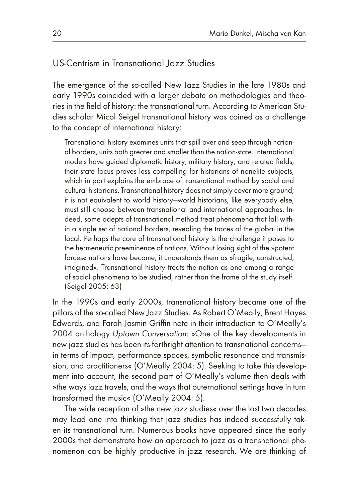### US-Centrism in Transnational Jazz Studies

The emergence of the so-called New Jazz Studies in the late 1980s and early 1990s coincided with a larger debate on methodologies and theories in the field of history: the transnational turn. According to American Studies scholar Micol Seigel transnational history was coined as a challenge to the concept of international history:

Transnational history examines units that spill over and seep through national borders, units both greater and smaller than the nation-state. International models have guided diplomatic history, military history, and related fields; their state focus proves less compelling for historians of nonelite subjects, which in part explains the embrace of transnational method by social and cultural historians. Transnational history does not simply cover more ground; it is not equivalent to world history—world historians, like everybody else, must still choose between transnational and international approaches. Indeed, some adepts of transnational method treat phenomena that fall within a single set of national borders, revealing the traces of the global in the local. Perhaps the core of transnational history is the challenge it poses to the hermeneutic preeminence of nations. Without losing sight of the »potent forces« nations have become, it understands them as »fragile, constructed, imagined«. Transnational history treats the nation as one among a range of social phenomena to be studied, rather than the frame of the study itself. (Seigel 2005: 63)

In the 1990s and early 2000s, transnational history became one of the pillars of the so-called New Jazz Studies. As Robert O'Meally, Brent Hayes Edwards, and Farah Jasmin Griffin note in their introduction to O'Meally's 2004 anthology *Uptown Conversation*: »One of the key developments in new jazz studies has been its forthright attention to transnational concerns in terms of impact, performance spaces, symbolic resonance and transmission, and practitioners« (O'Meally 2004: 5). Seeking to take this development into account, the second part of O'Meally's volume then deals with »the ways jazz travels, and the ways that outernational settings have in turn transformed the music« (O'Meally 2004: 5).

The wide reception of »the new jazz studies« over the last two decades may lead one into thinking that jazz studies has indeed successfully taken its transnational turn. Numerous books have appeared since the early 2000s that demonstrate how an approach to jazz as a transnational phenomenon can be highly productive in jazz research. We are thinking of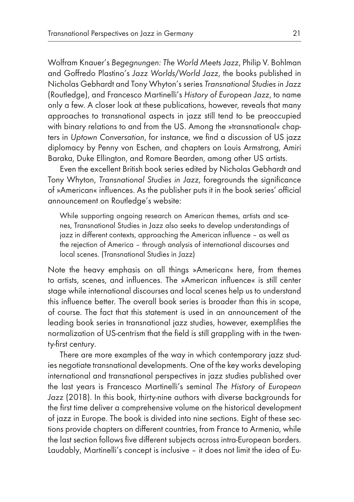Wolfram Knauer's *Begegnungen: The World Meets Jazz*, Philip V. Bohlman and Goffredo Plastino's *Jazz Worlds/World Jazz*, the books published in Nicholas Gebhardt and Tony Whyton's series *Transnational Studies in Jazz*  (Routledge), and Francesco Martinelli's *History of European Jazz*, to name only a few. A closer look at these publications, however, reveals that many approaches to transnational aspects in jazz still tend to be preoccupied with binary relations to and from the US. Among the »transnational« chapters in *Uptown Conversation*, for instance, we find a discussion of US jazz diplomacy by Penny von Eschen, and chapters on Louis Armstrong, Amiri Baraka, Duke Ellington, and Romare Bearden, among other US artists.

Even the excellent British book series edited by Nicholas Gebhardt and Tony Whyton, *Transnational Studies in Jazz*, foregrounds the significance of »American« influences. As the publisher puts it in the book series' official announcement on Routledge's website:

While supporting ongoing research on American themes, artists and scenes, Transnational Studies in Jazz also seeks to develop understandings of jazz in different contexts, approaching the American influence – as well as the rejection of America – through analysis of international discourses and local scenes. (Transnational Studies in Jazz)

Note the heavy emphasis on all things »American« here, from themes to artists, scenes, and influences. The »American influence« is still center stage while international discourses and local scenes help us to understand this influence better. The overall book series is broader than this in scope, of course. The fact that this statement is used in an announcement of the leading book series in transnational jazz studies, however, exemplifies the normalization of US-centrism that the field is still grappling with in the twenty-first century.

There are more examples of the way in which contemporary jazz studies negotiate transnational developments. One of the key works developing international and transnational perspectives in jazz studies published over the last years is Francesco Martinelli's seminal *The History of European Jazz* (2018). In this book, thirty-nine authors with diverse backgrounds for the first time deliver a comprehensive volume on the historical development of jazz in Europe. The book is divided into nine sections. Eight of these sections provide chapters on different countries, from France to Armenia, while the last section follows five different subjects across intra-European borders. Laudably, Martinelli's concept is inclusive – it does not limit the idea of Eu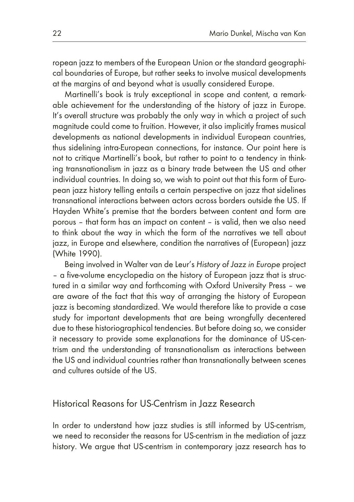ropean jazz to members of the European Union or the standard geographical boundaries of Europe, but rather seeks to involve musical developments at the margins of and beyond what is usually considered Europe.

Martinelli's book is truly exceptional in scope and content, a remarkable achievement for the understanding of the history of jazz in Europe. It's overall structure was probably the only way in which a project of such magnitude could come to fruition. However, it also implicitly frames musical developments as national developments in individual European countries, thus sidelining intra-European connections, for instance. Our point here is not to critique Martinelli's book, but rather to point to a tendency in thinking transnationalism in jazz as a binary trade between the US and other individual countries. In doing so, we wish to point out that this form of European jazz history telling entails a certain perspective on jazz that sidelines transnational interactions between actors across borders outside the US. If Hayden White's premise that the borders between content and form are porous – that form has an impact on content – is valid, then we also need to think about the way in which the form of the narratives we tell about jazz, in Europe and elsewhere, condition the narratives of (European) jazz (White 1990).

Being involved in Walter van de Leur's *History of Jazz in Europe* project – a five-volume encyclopedia on the history of European jazz that is structured in a similar way and forthcoming with Oxford University Press – we are aware of the fact that this way of arranging the history of European jazz is becoming standardized. We would therefore like to provide a case study for important developments that are being wrongfully decentered due to these historiographical tendencies. But before doing so, we consider it necessary to provide some explanations for the dominance of US-centrism and the understanding of transnationalism as interactions between the US and individual countries rather than transnationally between scenes and cultures outside of the US.

### Historical Reasons for US-Centrism in Jazz Research

In order to understand how jazz studies is still informed by US-centrism, we need to reconsider the reasons for US-centrism in the mediation of jazz history. We argue that US-centrism in contemporary jazz research has to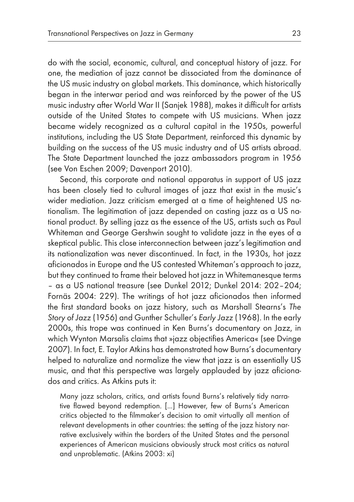do with the social, economic, cultural, and conceptual history of jazz. For one, the mediation of jazz cannot be dissociated from the dominance of the US music industry on global markets. This dominance, which historically began in the interwar period and was reinforced by the power of the US music industry after World War II (Sanjek 1988), makes it difficult for artists outside of the United States to compete with US musicians. When jazz became widely recognized as a cultural capital in the 1950s, powerful institutions, including the US State Department, reinforced this dynamic by building on the success of the US music industry and of US artists abroad. The State Department launched the jazz ambassadors program in 1956 (see Von Eschen 2009; Davenport 2010).

Second, this corporate and national apparatus in support of US jazz has been closely tied to cultural images of jazz that exist in the music's wider mediation. Jazz criticism emerged at a time of heightened US nationalism. The legitimation of jazz depended on casting jazz as a US national product. By selling jazz as the essence of the US, artists such as Paul Whiteman and George Gershwin sought to validate jazz in the eyes of a skeptical public. This close interconnection between jazz's legitimation and its nationalization was never discontinued. In fact, in the 1930s, hot jazz aficionados in Europe and the US contested Whiteman's approach to jazz, but they continued to frame their beloved hot jazz in Whitemanesque terms – as a US national treasure (see Dunkel 2012; Dunkel 2014: 202–204; Fornäs 2004: 229). The writings of hot jazz aficionados then informed the first standard books on jazz history, such as Marshall Stearns's *The Story of Jazz* (1956) and Gunther Schuller's *Early Jazz* (1968). In the early 2000s, this trope was continued in Ken Burns's documentary on Jazz, in which Wynton Marsalis claims that »jazz objectifies America« (see Dvinge 2007). In fact, E. Taylor Atkins has demonstrated how Burns's documentary helped to naturalize and normalize the view that jazz is an essentially US music, and that this perspective was largely applauded by jazz aficionados and critics. As Atkins puts it:

Many jazz scholars, critics, and artists found Burns's relatively tidy narrative flawed beyond redemption. [...] However, few of Burns's American critics objected to the filmmaker's decision to omit virtually all mention of relevant developments in other countries: the setting of the jazz history narrative exclusively within the borders of the United States and the personal experiences of American musicians obviously struck most critics as natural and unproblematic. (Atkins 2003: xi)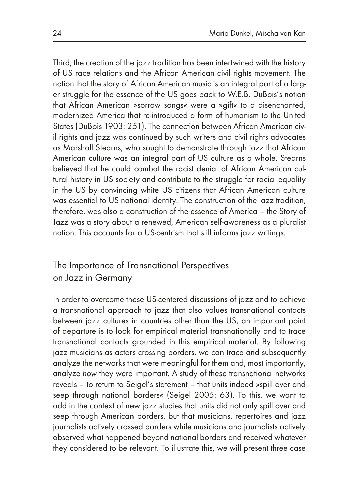Third, the creation of the jazz tradition has been intertwined with the history of US race relations and the African American civil rights movement. The notion that the story of African American music is an integral part of a larger struggle for the essence of the US goes back to W.E.B. DuBois's notion that African American »sorrow songs« were a »gift« to a disenchanted, modernized America that re-introduced a form of humanism to the United States (DuBois 1903: 251). The connection between African American civil rights and jazz was continued by such writers and civil rights advocates as Marshall Stearns, who sought to demonstrate through jazz that African American culture was an integral part of US culture as a whole. Stearns believed that he could combat the racist denial of African American cultural history in US society and contribute to the struggle for racial equality in the US by convincing white US citizens that African American culture was essential to US national identity. The construction of the jazz tradition, therefore, was also a construction of the essence of America – the Story of Jazz was a story about a renewed, American self-awareness as a pluralist nation. This accounts for a US-centrism that still informs jazz writings.

## The Importance of Transnational Perspectives on Jazz in Germany

In order to overcome these US-centered discussions of jazz and to achieve a transnational approach to jazz that also values transnational contacts between jazz cultures in countries other than the US, an important point of departure is to look for empirical material transnationally and to trace transnational contacts grounded in this empirical material. By following jazz musicians as actors crossing borders, we can trace and subsequently analyze the networks that were meaningful for them and, most importantly, analyze *how* they were important. A study of these transnational networks reveals – to return to Seigel's statement – that units indeed »spill over and seep through national borders« (Seigel 2005: 63). To this, we want to add in the context of new jazz studies that units did not only spill over and seep through American borders, but that musicians, repertoires and jazz journalists actively crossed borders while musicians and journalists actively observed what happened beyond national borders and received whatever they considered to be relevant. To illustrate this, we will present three case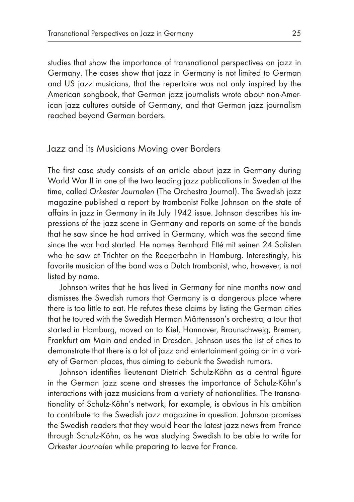studies that show the importance of transnational perspectives on jazz in Germany. The cases show that jazz in Germany is not limited to German and US jazz musicians, that the repertoire was not only inspired by the American songbook, that German jazz journalists wrote about non-American jazz cultures outside of Germany, and that German jazz journalism reached beyond German borders.

#### Jazz and its Musicians Moving over Borders

The first case study consists of an article about jazz in Germany during World War II in one of the two leading jazz publications in Sweden at the time, called *Orkester Journalen* (The Orchestra Journal). The Swedish jazz magazine published a report by trombonist Folke Johnson on the state of affairs in jazz in Germany in its July 1942 issue. Johnson describes his impressions of the jazz scene in Germany and reports on some of the bands that he saw since he had arrived in Germany, which was the second time since the war had started. He names Bernhard Etté mit seinen 24 Solisten who he saw at Trichter on the Reeperbahn in Hamburg. Interestingly, his favorite musician of the band was a Dutch trombonist, who, however, is not listed by name.

Johnson writes that he has lived in Germany for nine months now and dismisses the Swedish rumors that Germany is a dangerous place where there is too little to eat. He refutes these claims by listing the German cities that he toured with the Swedish Herman Mårtensson's orchestra, a tour that started in Hamburg, moved on to Kiel, Hannover, Braunschweig, Bremen, Frankfurt am Main and ended in Dresden. Johnson uses the list of cities to demonstrate that there is a lot of jazz and entertainment going on in a variety of German places, thus aiming to debunk the Swedish rumors.

Johnson identifies lieutenant Dietrich Schulz-Köhn as a central figure in the German jazz scene and stresses the importance of Schulz-Köhn's interactions with jazz musicians from a variety of nationalities. The transnationality of Schulz-Köhn's network, for example, is obvious in his ambition to contribute to the Swedish jazz magazine in question. Johnson promises the Swedish readers that they would hear the latest jazz news from France through Schulz-Köhn, as he was studying Swedish to be able to write for *Orkester Journalen* while preparing to leave for France.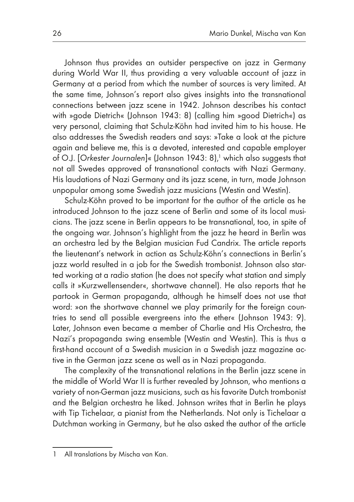Johnson thus provides an outsider perspective on jazz in Germany during World War II, thus providing a very valuable account of jazz in Germany at a period from which the number of sources is very limited. At the same time, Johnson's report also gives insights into the transnational connections between jazz scene in 1942. Johnson describes his contact with »gode Dietrich« (Johnson 1943: 8) (calling him »good Dietrich«) as very personal, claiming that Schulz-Köhn had invited him to his house. He also addresses the Swedish readers and says: »Take a look at the picture again and believe me, this is a devoted, interested and capable employer of O.J. [Orkester Journalen]« (Johnson 1943: 8),<sup>1</sup> which also suggests that not all Swedes approved of transnational contacts with Nazi Germany. His laudations of Nazi Germany and its jazz scene, in turn, made Johnson unpopular among some Swedish jazz musicians (Westin and Westin).

Schulz-Köhn proved to be important for the author of the article as he introduced Johnson to the jazz scene of Berlin and some of its local musicians. The jazz scene in Berlin appears to be transnational, too, in spite of the ongoing war. Johnson's highlight from the jazz he heard in Berlin was an orchestra led by the Belgian musician Fud Candrix. The article reports the lieutenant's network in action as Schulz-Köhn's connections in Berlin's jazz world resulted in a job for the Swedish trombonist. Johnson also started working at a radio station (he does not specify what station and simply calls it »Kurzwellensender«, shortwave channel). He also reports that he partook in German propaganda, although he himself does not use that word: »on the shortwave channel we play primarily for the foreign countries to send all possible evergreens into the ether« (Johnson 1943: 9). Later, Johnson even became a member of Charlie and His Orchestra, the Nazi's propaganda swing ensemble (Westin and Westin). This is thus a first-hand account of a Swedish musician in a Swedish jazz magazine active in the German jazz scene as well as in Nazi propaganda.

The complexity of the transnational relations in the Berlin jazz scene in the middle of World War II is further revealed by Johnson, who mentions a variety of non-German jazz musicians, such as his favorite Dutch trombonist and the Belgian orchestra he liked. Johnson writes that in Berlin he plays with Tip Tichelaar, a pianist from the Netherlands. Not only is Tichelaar a Dutchman working in Germany, but he also asked the author of the article

<sup>1</sup> All translations by Mischa van Kan.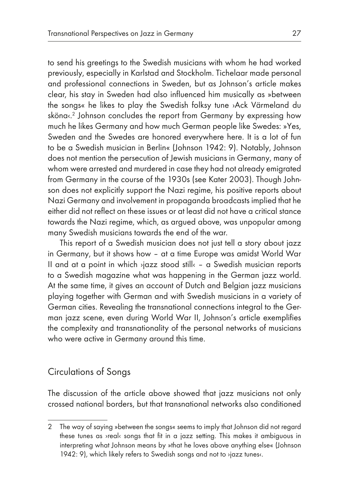to send his greetings to the Swedish musicians with whom he had worked previously, especially in Karlstad and Stockholm. Tichelaar made personal and professional connections in Sweden, but as Johnson's article makes clear, his stay in Sweden had also influenced him musically as »between the songs« he likes to play the Swedish folksy tune ›Ack Värmeland du sköna $\ll^2$  Johnson concludes the report from Germany by expressing how much he likes Germany and how much German people like Swedes: »Yes, Sweden and the Swedes are honored everywhere here. It is a lot of fun to be a Swedish musician in Berlin« (Johnson 1942: 9). Notably, Johnson does not mention the persecution of Jewish musicians in Germany, many of whom were arrested and murdered in case they had not already emigrated from Germany in the course of the 1930s (see Kater 2003). Though Johnson does not explicitly support the Nazi regime, his positive reports about Nazi Germany and involvement in propaganda broadcasts implied that he either did not reflect on these issues or at least did not have a critical stance towards the Nazi regime, which, as argued above, was unpopular among many Swedish musicians towards the end of the war.

This report of a Swedish musician does not just tell a story about jazz in Germany, but it shows how – at a time Europe was amidst World War II and at a point in which ›jazz stood still‹ – a Swedish musician reports to a Swedish magazine what was happening in the German jazz world. At the same time, it gives an account of Dutch and Belgian jazz musicians playing together with German and with Swedish musicians in a variety of German cities. Revealing the transnational connections integral to the German jazz scene, even during World War II, Johnson's article exemplifies the complexity and transnationality of the personal networks of musicians who were active in Germany around this time.

### Circulations of Songs

The discussion of the article above showed that jazz musicians not only crossed national borders, but that transnational networks also conditioned

<sup>2</sup> The way of saying »between the songs« seems to imply that Johnson did not regard these tunes as ›real‹ songs that fit in a jazz setting. This makes it ambiguous in interpreting what Johnson means by »that he loves above anything else« (Johnson 1942: 9), which likely refers to Swedish songs and not to ›jazz tunes‹.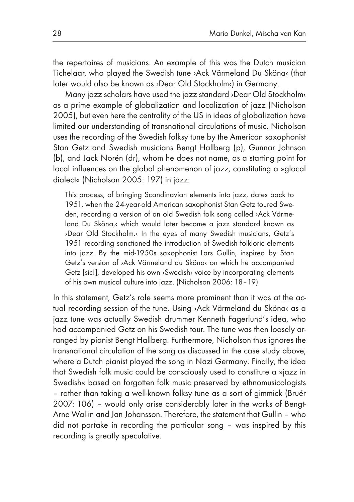the repertoires of musicians. An example of this was the Dutch musician Tichelaar, who played the Swedish tune ›Ack Värmeland Du Sköna‹ (that later would also be known as ›Dear Old Stockholm‹) in Germany.

Many jazz scholars have used the jazz standard ›Dear Old Stockholm‹ as a prime example of globalization and localization of jazz (Nicholson 2005), but even here the centrality of the US in ideas of globalization have limited our understanding of transnational circulations of music. Nicholson uses the recording of the Swedish folksy tune by the American saxophonist Stan Getz and Swedish musicians Bengt Hallberg (p), Gunnar Johnson (b), and Jack Norén (dr), whom he does not name, as a starting point for local influences on the global phenomenon of jazz, constituting a »glocal dialect« (Nicholson 2005: 197) in jazz:

This process, of bringing Scandinavian elements into jazz, dates back to 1951, when the 24-year-old American saxophonist Stan Getz toured Sweden, recording a version of an old Swedish folk song called ›Ack Värmeland Du Sköna,‹ which would later become a jazz standard known as ›Dear Old Stockholm.‹ In the eyes of many Swedish musicians, Getz's 1951 recording sanctioned the introduction of Swedish folkloric elements into jazz. By the mid-1950s saxophonist Lars Gullin, inspired by Stan Getz's version of ›Ack Värmeland du Sköna‹ on which he accompanied Getz [sic!], developed his own ›Swedish‹ voice by incorporating elements of his own musical culture into jazz. (Nicholson 2006: 18–19)

In this statement, Getz's role seems more prominent than it was at the actual recording session of the tune. Using ›Ack Värmeland du Sköna‹ as a jazz tune was actually Swedish drummer Kenneth Fagerlund's idea, who had accompanied Getz on his Swedish tour. The tune was then loosely arranged by pianist Bengt Hallberg. Furthermore, Nicholson thus ignores the transnational circulation of the song as discussed in the case study above, where a Dutch pianist played the song in Nazi Germany. Finally, the idea that Swedish folk music could be consciously used to constitute a »jazz in Swedish« based on forgotten folk music preserved by ethnomusicologists – rather than taking a well-known folksy tune as a sort of gimmick (Bruér 2007: 106) – would only arise considerably later in the works of Bengt-Arne Wallin and Jan Johansson. Therefore, the statement that Gullin – who did not partake in recording the particular song – was inspired by this recording is greatly speculative.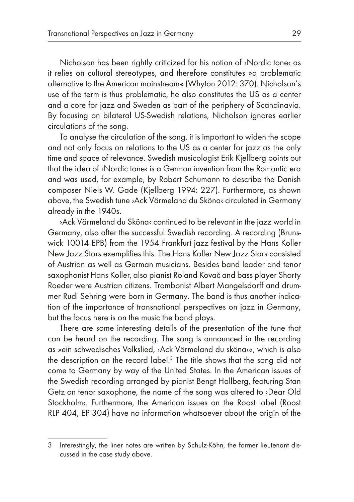Nicholson has been rightly criticized for his notion of ›Nordic tone‹ as it relies on cultural stereotypes, and therefore constitutes »a problematic alternative to the American mainstream« (Whyton 2012: 370). Nicholson's use of the term is thus problematic, he also constitutes the US as a center and a core for jazz and Sweden as part of the periphery of Scandinavia. By focusing on bilateral US-Swedish relations, Nicholson ignores earlier circulations of the song.

To analyse the circulation of the song, it is important to widen the scope and not only focus on relations to the US as a center for jazz as the only time and space of relevance. Swedish musicologist Erik Kjellberg points out that the idea of ›Nordic tone‹ is a German invention from the Romantic era and was used, for example, by Robert Schumann to describe the Danish composer Niels W. Gade (Kjellberg 1994: 227). Furthermore, as shown above, the Swedish tune ›Ack Värmeland du Sköna‹ circulated in Germany already in the 1940s.

›Ack Värmeland du Sköna‹ continued to be relevant in the jazz world in Germany, also after the successful Swedish recording. A recording (Brunswick 10014 EPB) from the 1954 Frankfurt jazz festival by the Hans Koller New Jazz Stars exemplifies this. The Hans Koller New Jazz Stars consisted of Austrian as well as German musicians. Besides band leader and tenor saxophonist Hans Koller, also pianist Roland Kovač and bass player Shorty Roeder were Austrian citizens. Trombonist Albert Mangelsdorff and drummer Rudi Sehring were born in Germany. The band is thus another indication of the importance of transnational perspectives on jazz in Germany, but the focus here is on the music the band plays.

There are some interesting details of the presentation of the tune that can be heard on the recording. The song is announced in the recording as »ein schwedisches Volkslied, ›Ack Värmeland du sköna‹«, which is also the description on the record label. $^3$  The title shows that the song did not come to Germany by way of the United States. In the American issues of the Swedish recording arranged by pianist Bengt Hallberg, featuring Stan Getz on tenor saxophone, the name of the song was altered to ›Dear Old Stockholm«. Furthermore, the American issues on the Roost label (Roost RLP 404, EP 304) have no information whatsoever about the origin of the

<sup>3</sup> Interestingly, the liner notes are written by Schulz-Köhn, the former lieutenant discussed in the case study above.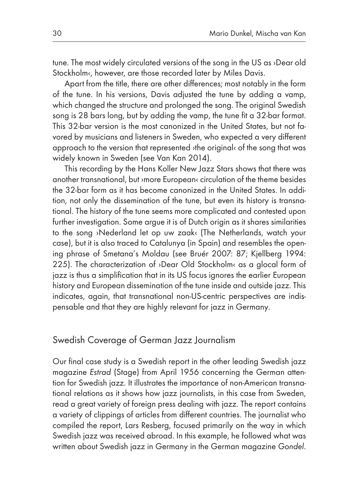tune. The most widely circulated versions of the song in the US as ›Dear old Stockholm«, however, are those recorded later by Miles Davis.

Apart from the title, there are other differences; most notably in the form of the tune. In his versions, Davis adjusted the tune by adding a vamp, which changed the structure and prolonged the song. The original Swedish song is 28 bars long, but by adding the vamp, the tune fit a 32-bar format. This 32-bar version is the most canonized in the United States, but not favored by musicians and listeners in Sweden, who expected a very different approach to the version that represented ›the original‹ of the song that was widely known in Sweden (see Van Kan 2014).

This recording by the Hans Koller New Jazz Stars shows that there was another transnational, but ›more European‹ circulation of the theme besides the 32-bar form as it has become canonized in the United States. In addition, not only the dissemination of the tune, but even its history is transnational. The history of the tune seems more complicated and contested upon further investigation. Some argue it is of Dutch origin as it shares similarities to the song ›Nederland let op uw zaak‹ (The Netherlands, watch your case), but it is also traced to Catalunya (in Spain) and resembles the opening phrase of Smetana's Moldau (see Bruér 2007: 87; Kjellberg 1994: 225). The characterization of >Dear Old Stockholm< as a glocal form of jazz is thus a simplification that in its US focus ignores the earlier European history and European dissemination of the tune inside and outside jazz. This indicates, again, that transnational non-US-centric perspectives are indispensable and that they are highly relevant for jazz in Germany.

### Swedish Coverage of German Jazz Journalism

Our final case study is a Swedish report in the other leading Swedish jazz magazine *Estrad* (Stage) from April 1956 concerning the German attention for Swedish jazz. It illustrates the importance of non-American transnational relations as it shows how jazz journalists, in this case from Sweden, read a great variety of foreign press dealing with jazz. The report contains a variety of clippings of articles from different countries. The journalist who compiled the report, Lars Resberg, focused primarily on the way in which Swedish jazz was received abroad. In this example, he followed what was written about Swedish jazz in Germany in the German magazine *Gondel*.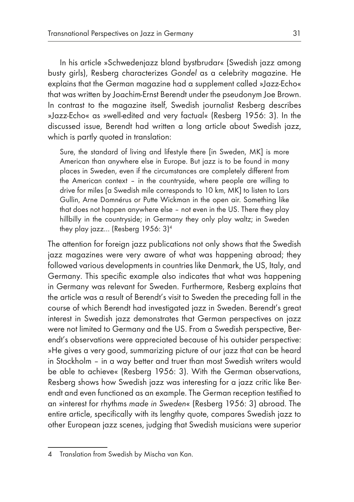In his article »Schwedenjazz bland bystbrudar« (Swedish jazz among busty girls), Resberg characterizes *Gondel* as a celebrity magazine. He explains that the German magazine had a supplement called »Jazz-Echo« that was written by Joachim-Ernst Berendt under the pseudonym Joe Brown. In contrast to the magazine itself, Swedish journalist Resberg describes »Jazz-Echo« as »well-edited and very factual« (Resberg 1956: 3). In the discussed issue, Berendt had written a long article about Swedish jazz, which is partly quoted in translation:

Sure, the standard of living and lifestyle there [in Sweden, MK] is more American than anywhere else in Europe. But jazz is to be found in many places in Sweden, even if the circumstances are completely different from the American context – in the countryside, where people are willing to drive for miles [a Swedish mile corresponds to 10 km, MK] to listen to Lars Gullin, Arne Domnérus or Putte Wickman in the open air. Something like that does not happen anywhere else – not even in the US. There they play hillbilly in the countryside; in Germany they only play waltz; in Sweden they play jazz… (Resberg 1956: 3)4

The attention for foreign jazz publications not only shows that the Swedish jazz magazines were very aware of what was happening abroad; they followed various developments in countries like Denmark, the US, Italy, and Germany. This specific example also indicates that what was happening in Germany was relevant for Sweden. Furthermore, Resberg explains that the article was a result of Berendt's visit to Sweden the preceding fall in the course of which Berendt had investigated jazz in Sweden. Berendt's great interest in Swedish jazz demonstrates that German perspectives on jazz were not limited to Germany and the US. From a Swedish perspective, Berendt's observations were appreciated because of his outsider perspective: »He gives a very good, summarizing picture of our jazz that can be heard in Stockholm – in a way better and truer than most Swedish writers would be able to achieve« (Resberg 1956: 3). With the German observations, Resberg shows how Swedish jazz was interesting for a jazz critic like Berendt and even functioned as an example. The German reception testified to an »interest for rhythms *made in Sweden*« (Resberg 1956: 3) abroad. The entire article, specifically with its lengthy quote, compares Swedish jazz to other European jazz scenes, judging that Swedish musicians were superior

<sup>4</sup> Translation from Swedish by Mischa van Kan.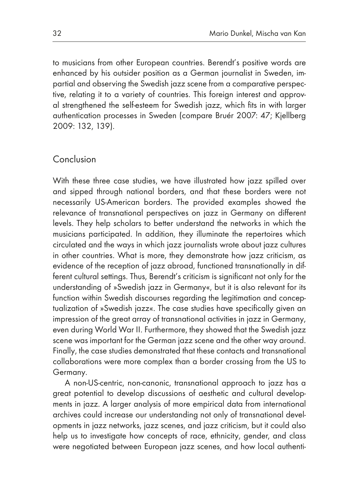to musicians from other European countries. Berendt's positive words are enhanced by his outsider position as a German journalist in Sweden, impartial and observing the Swedish jazz scene from a comparative perspective, relating it to a variety of countries. This foreign interest and approval strengthened the self-esteem for Swedish jazz, which fits in with larger authentication processes in Sweden (compare Bruér 2007: 47; Kjellberg 2009: 132, 139).

### Conclusion

With these three case studies, we have illustrated how jazz spilled over and sipped through national borders, and that these borders were not necessarily US-American borders. The provided examples showed the relevance of transnational perspectives on jazz in Germany on different levels. They help scholars to better understand the networks in which the musicians participated. In addition, they illuminate the repertoires which circulated and the ways in which jazz journalists wrote about jazz cultures in other countries. What is more, they demonstrate how jazz criticism, as evidence of the reception of jazz abroad, functioned transnationally in different cultural settings. Thus, Berendt's criticism is significant not only for the understanding of »Swedish jazz in Germany«, but it is also relevant for its function within Swedish discourses regarding the legitimation and conceptualization of »Swedish jazz«. The case studies have specifically given an impression of the great array of transnational activities in jazz in Germany, even during World War II. Furthermore, they showed that the Swedish jazz scene was important for the German jazz scene and the other way around. Finally, the case studies demonstrated that these contacts and transnational collaborations were more complex than a border crossing from the US to Germany.

A non-US-centric, non-canonic, transnational approach to jazz has a great potential to develop discussions of aesthetic and cultural developments in jazz. A larger analysis of more empirical data from international archives could increase our understanding not only of transnational developments in jazz networks, jazz scenes, and jazz criticism, but it could also help us to investigate how concepts of race, ethnicity, gender, and class were negotiated between European jazz scenes, and how local authenti-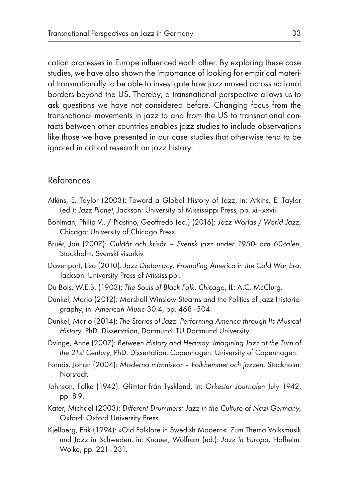cation processes in Europe influenced each other. By exploring these case studies, we have also shown the importance of looking for empirical material transnationally to be able to investigate how jazz moved across national borders beyond the US. Thereby, a transnational perspective allows us to ask questions we have not considered before. Changing focus from the transnational movements in jazz to and from the US to transnational contacts between other countries enables jazz studies to include observations like those we have presented in our case studies that otherwise tend to be ignored in critical research on jazz history.

#### References

- Atkins, E. Taylor (2003): Toward a Global History of Jazz, in: Atkins, E. Taylor (ed.): *Jazz Planet*, Jackson: University of Mississippi Press, pp. xi–xxvii.
- Bohlman, Philip V., / Plastino, Geoffredo (ed.) (2016): *Jazz Worlds / World Jazz*, Chicago: University of Chicago Press.
- Bruér, Jan (2007): *Guldår och krisår Svensk jazz under 1950- och 60-talen*, Stockholm: Svenskt visarkiv.
- Davenport, Lisa (2010): *Jazz Diplomacy: Promoting America in the Cold War Era*, Jackson: University Press of Mississippi.
- Du Bois, W.E.B. (1903): *The Souls of Black Folk. Chicago*, IL: A.C. McClurg.
- Dunkel, Mario (2012): Marshall Winslow Stearns and the Politics of Jazz Historiography, in: *American Music* 30.4, pp. 468–504.
- Dunkel, Mario (2014): *The Stories of Jazz. Performing America through Its Musical History*, PhD. Dissertation, Dortmund: TU Dortmund University.
- Dvinge, Anne (2007): *Between History and Hearsay: Imagining Jazz at the Turn of the 21st Century*, PhD. Dissertation, Copenhagen: University of Copenhagen.
- Fornäs, Johan (2004): *Moderna människor Folkhemmet och jazzen*. Stockholm: Norstedt.
- Johnson, Folke (1942): Glimtar från Tyskland, in: *Orkester Journalen* July 1942, pp. 8-9.
- Kater, Michael (2003): *Different Drummers: Jazz in the Culture of Nazi Germany*, Oxford: Oxford University Press.
- Kjellberg, Erik (1994): »Old Folklore in Swedish Modern«. Zum Thema Volksmusik und Jazz in Schweden, in: Knauer, Wolfram (ed.): *Jazz in Europa*, Hofheim: Wolke, pp. 221–231.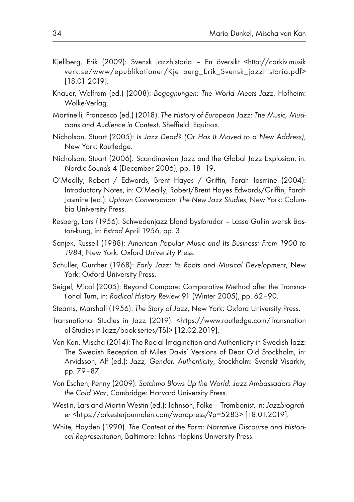- Kjellberg, Erik (2009): Svensk jazzhistoria En översikt <http://carkiv.musik verk.se/www/epublikationer/Kjellberg\_Erik\_Svensk\_jazzhistoria.pdf> [18.01 2019].
- Knauer, Wolfram (ed.) (2008): *Begegnungen: The World Meets Jazz*, Hofheim: Wolke-Verlag.
- Martinelli, Francesco (ed.) (2018). *The History of European Jazz: The Music, Musicians and Audience in Context*, Sheffield: Equinox.
- Nicholson, Stuart (2005): *Is Jazz Dead? (Or Has It Moved to a New Address)*, New York: Routledge.
- Nicholson, Stuart (2006): Scandinavian Jazz and the Global Jazz Explosion, in: *Nordic Sounds* 4 (December 2006), pp. 18–19.
- O'Meally, Robert / Edwards, Brent Hayes / Griffin, Farah Jasmine (2004): Introductory Notes, in: O'Meally, Robert/Brent Hayes Edwards/Griffin, Farah Jasmine (ed.): *Uptown Conversation: The New Jazz Studies*, New York: Columbia University Press.
- Resberg, Lars (1956): Schwedenjazz bland bystbrudar Lasse Gullin svensk Boston-kung, in: *Estrad* April 1956, pp. 3.
- Sanjek, Russell (1988): *American Popular Music and Its Business: From 1900 to 1984*, New York: Oxford University Press.
- Schuller, Gunther (1968): *Early Jazz: Its Roots and Musical Development*, New York: Oxford University Press.
- Seigel, Micol (2005): Beyond Compare: Comparative Method after the Transnational Turn, in: *Radical History Review* 91 (Winter 2005), pp. 62–90.
- Stearns, Marshall (1956): *The Story of Jazz*, New York: Oxford University Press.
- Transnational Studies in Jazz (2019): <https://www.routledge.com/Transnation al-Studies-in-Jazz/book-series/TSJ> [12.02.2019].
- Van Kan, Mischa (2014): The Racial Imagination and Authenticity in Swedish Jazz: The Swedish Reception of Miles Davis' Versions of Dear Old Stockholm, in: Arvidsson, Alf (ed.): *Jazz, Gender, Authenticity*, Stockholm: Svenskt Visarkiv, pp. 79–87.
- Von Eschen, Penny (2009): *Satchmo Blows Up the World: Jazz Ambassadors Play the Cold War*, Cambridge: Harvard University Press.
- Westin, Lars and Martin Westin (ed.): Johnson, Folke Trombonist, in: *Jazzbiografier* <https://orkesterjournalen.com/wordpress/?p=5283> [18.01.2019].
- White, Hayden (1990). *The Content of the Form: Narrative Discourse and Historical Representation*, Baltimore: Johns Hopkins University Press.